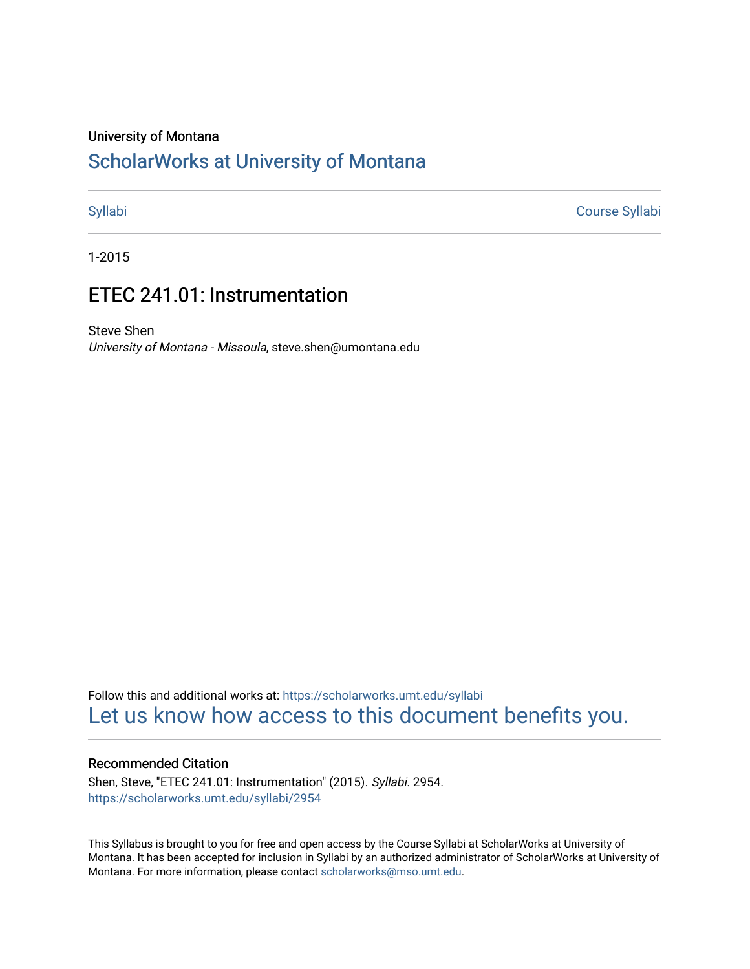#### University of Montana

# [ScholarWorks at University of Montana](https://scholarworks.umt.edu/)

[Syllabi](https://scholarworks.umt.edu/syllabi) [Course Syllabi](https://scholarworks.umt.edu/course_syllabi) 

1-2015

# ETEC 241.01: Instrumentation

Steve Shen University of Montana - Missoula, steve.shen@umontana.edu

Follow this and additional works at: [https://scholarworks.umt.edu/syllabi](https://scholarworks.umt.edu/syllabi?utm_source=scholarworks.umt.edu%2Fsyllabi%2F2954&utm_medium=PDF&utm_campaign=PDFCoverPages)  [Let us know how access to this document benefits you.](https://goo.gl/forms/s2rGfXOLzz71qgsB2) 

#### Recommended Citation

Shen, Steve, "ETEC 241.01: Instrumentation" (2015). Syllabi. 2954. [https://scholarworks.umt.edu/syllabi/2954](https://scholarworks.umt.edu/syllabi/2954?utm_source=scholarworks.umt.edu%2Fsyllabi%2F2954&utm_medium=PDF&utm_campaign=PDFCoverPages)

This Syllabus is brought to you for free and open access by the Course Syllabi at ScholarWorks at University of Montana. It has been accepted for inclusion in Syllabi by an authorized administrator of ScholarWorks at University of Montana. For more information, please contact [scholarworks@mso.umt.edu.](mailto:scholarworks@mso.umt.edu)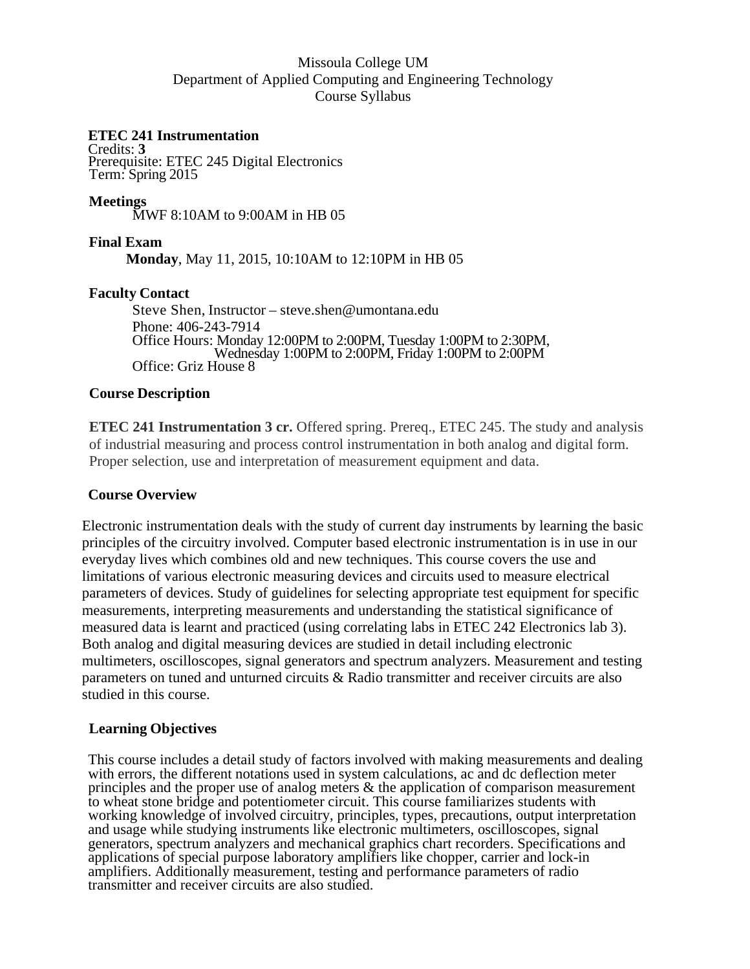# Missoula College UM Department of Applied Computing and Engineering Technology Course Syllabus

# **ETEC 241 Instrumentation**

Credits: **3**  Prerequisite: ETEC 245 Digital Electronics Term: Spring 2015

**Meetings** MWF 8:10AM to 9:00AM in HB 05

# **Final Exam**

**Monday**, May 11, 2015, 10:10AM to 12:10PM in HB 05

# **Faculty Contact**

 Steve Shen, Instructor – steve.shen@umontana.edu Phone: 406-243-7914 Office Hours: Monday 12:00PM to 2:00PM, Tuesday 1:00PM to 2:30PM,<br>Wednesday 1:00PM to 2:00PM, Friday 1:00PM to 2:00PM<br>Office: Griz House 8

# **Course Description**

**ETEC 241 Instrumentation 3 cr.** Offered spring. Prereq., ETEC 245. The study and analysis of industrial measuring and process control instrumentation in both analog and digital form. Proper selection, use and interpretation of measurement equipment and data.

# **Course Overview**

Electronic instrumentation deals with the study of current day instruments by learning the basic principles of the circuitry involved. Computer based electronic instrumentation is in use in our everyday lives which combines old and new techniques. This course covers the use and limitations of various electronic measuring devices and circuits used to measure electrical parameters of devices. Study of guidelines for selecting appropriate test equipment for specific measurements, interpreting measurements and understanding the statistical significance of measured data is learnt and practiced (using correlating labs in ETEC 242 Electronics lab 3). Both analog and digital measuring devices are studied in detail including electronic multimeters, oscilloscopes, signal generators and spectrum analyzers. Measurement and testing parameters on tuned and unturned circuits & Radio transmitter and receiver circuits are also studied in this course.

#### **Learning Objectives**

This course includes a detail study of factors involved with making measurements and dealing with errors, the different notations used in system calculations, ac and dc deflection meter principles and the proper use of analog meters & the application of comparison measurement to wheat stone bridge and potentiometer circuit. This course familiarizes students with working knowledge of involved circuitry, principles, types, precautions, output interpretation and usage while studying instruments like electronic multimeters, oscilloscopes, signal generators, spectrum analyzers and mechanical graphics chart recorders. Specifications and applications of special purpose laboratory amplifiers like chopper, carrier and lock-in amplifiers. Additionally measurement, testing and performance parameters of radio transmitter and receiver circuits are also studied.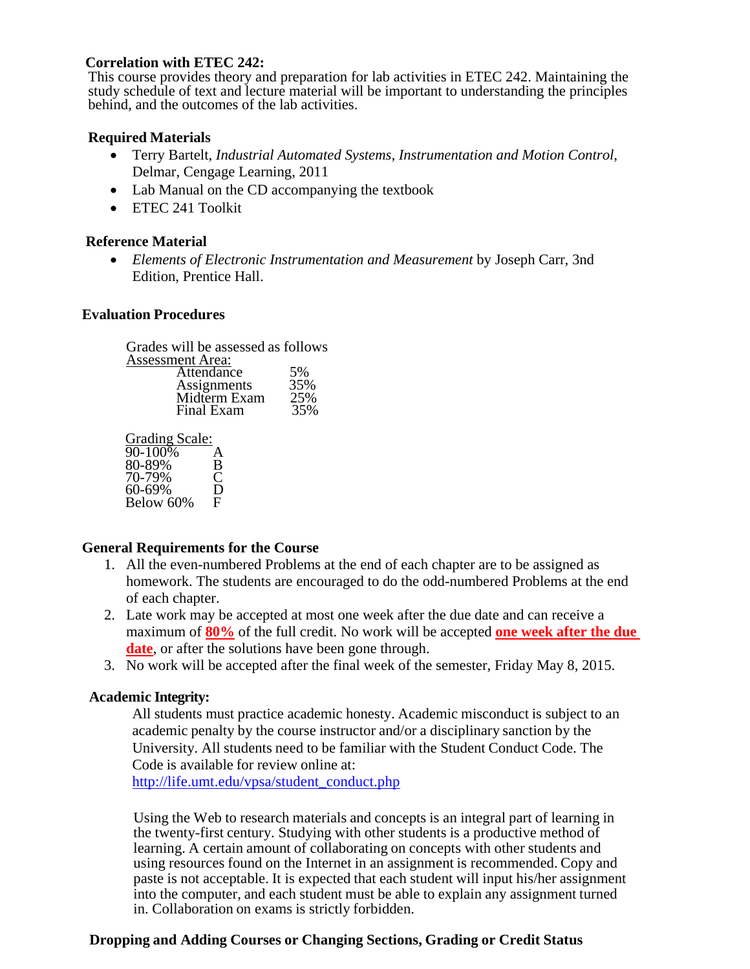# **Correlation with ETEC 242:**

This course provides theory and preparation for lab activities in ETEC 242. Maintaining the study schedule of text and lecture material will be important to understanding the principles behind, and the outcomes of the lab activities.

# **Required Materials**

- Terry Bartelt, *Industrial Automated Systems, Instrumentation and Motion Control,*  Delmar, Cengage Learning, 2011
- Lab Manual on the CD accompanying the textbook
- ETEC 241 Toolkit

# **Reference Material**

 *Elements of Electronic Instrumentation and Measurement* by Joseph Carr, 3nd Edition, Prentice Hall.

#### **Evaluation Procedures**

| Grades will be assessed as follows |     |
|------------------------------------|-----|
| <b>Assessment Area:</b>            |     |
| Attendance                         | 5%  |
| Assignments                        | 35% |
| Midterm Exam                       | 25% |
| Final Exam                         | 35% |

Grading Scale:

| 90-100%   | A |
|-----------|---|
| 80-89%    | B |
| 70-79%    | C |
| 60-69%    | D |
| Below 60% | F |

#### **General Requirements for the Course**

- 1. All the even-numbered Problems at the end of each chapter are to be assigned as homework. The students are encouraged to do the odd-numbered Problems at the end of each chapter.
- 2. Late work may be accepted at most one week after the due date and can receive a maximum of **80%** of the full credit. No work will be accepted **one week after the due date**, or after the solutions have been gone through.
- 3. No work will be accepted after the final week of the semester, Friday May 8, 2015.

# **Academic Integrity:**

 All students must practice academic honesty. Academic misconduct is subject to an academic penalty by the course instructor and/or a disciplinary sanction by the University. All students need to be familiar with the Student Conduct Code. The Code is available for review online at: http://life.umt.edu/vpsa/student\_conduct.php

 Using the Web to research materials and concepts is an integral part of learning in the twenty-first century. Studying with other students is a productive method of learning. A certain amount of collaborating on concepts with other students and using resources found on the Internet in an assignment is recommended. Copy and paste is not acceptable. It is expected that each student will input his/her assignment into the computer, and each student must be able to explain any assignment turned in. Collaboration on exams is strictly forbidden.

# **Dropping and Adding Courses or Changing Sections, Grading or Credit Status**